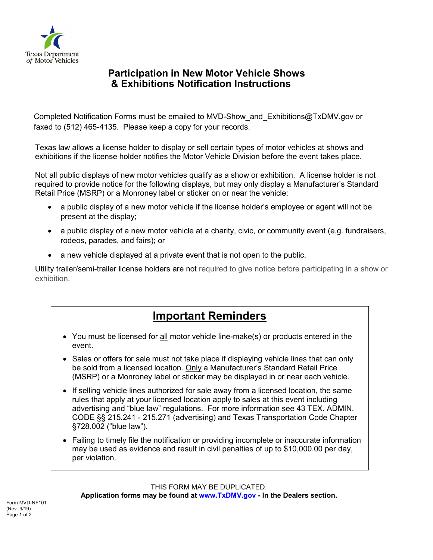

## **Participation in New Motor Vehicle Shows & Exhibitions Notification Instructions**

Completed Notification Forms must be emailed to [MVD-Show\\_and\\_Exhibitions@TxDMV.gov](mailto:MVD-Show_and_Exhibitions@TxDMV.gov) or faxed to (512) 465-4135. Please keep a copy for your records.

Texas law allows a license holder to display or sell certain types of motor vehicles at shows and exhibitions if the license holder notifies the Motor Vehicle Division before the event takes place.

Not all public displays of new motor vehicles qualify as a show or exhibition. A license holder is not required to provide notice for the following displays, but may only display a Manufacturer's Standard Retail Price (MSRP) or a Monroney label or sticker on or near the vehicle:

- a public display of a new motor vehicle if the license holder's employee or agent will not be present at the display;
- a public display of a new motor vehicle at a charity, civic, or community event (e.g. fundraisers, rodeos, parades, and fairs); or
- a new vehicle displayed at a private event that is not open to the public.

Utility trailer/semi-trailer license holders are not required to give notice before participating in a show or exhibition.

## **Important Reminders**

- You must be licensed for all motor vehicle line-make(s) or products entered in the event.
- Sales or offers for sale must not take place if displaying vehicle lines that can only be sold from a licensed location. Only a Manufacturer's Standard Retail Price (MSRP) or a Monroney label or sticker may be displayed in or near each vehicle.
- If selling vehicle lines authorized for sale away from a licensed location, the same rules that apply at your licensed location apply to sales at this event including advertising and "blue law" regulations. For more information see 43 TEX. ADMIN. CODE §§ 215.241 - 215.271 (advertising) and Texas Transportation Code Chapter §728.002 ("blue law").
- Failing to timely file the notification or providing incomplete or inaccurate information may be used as evidence and result in civil penalties of up to \$10,000.00 per day, per violation.